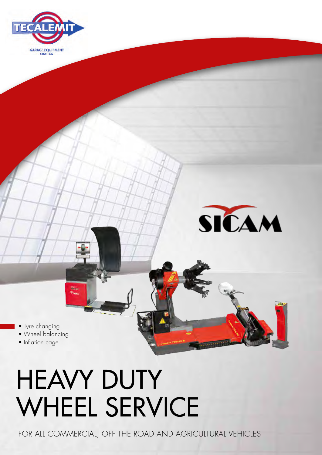



• Tyre changing

• Wheel balancing

ani.

• Inflation cage

# **HEAVY DUTY** WHEEL SERVICE

for all commercial, off the road and agricultural vehicles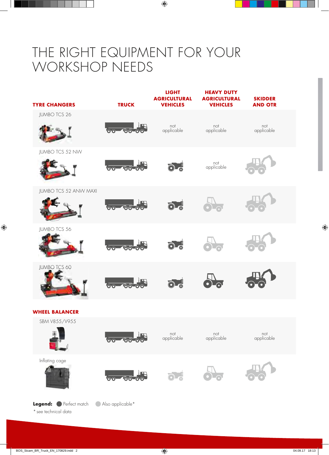### THE RIGHT EQUIPMENT FOR YOUR WORKSHOP NEEDS



\* see technical data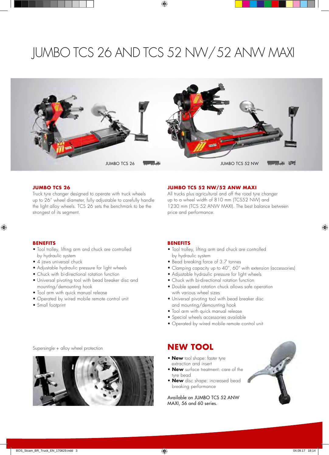### JUMBO TCS 26 AND TCS 52 NW/ 52 ANW MAXI



#### **JUMBO TCS 26**

Truck tyre changer designed to operate with truck wheels up to 26" wheel diameter, fully adjustable to carefully handle the light alloy wheels. TCS 26 sets the benchmark to be the strongest of its segment.

#### **JUMBO TCS 52 NW/52 ANW MAXI**

All trucks plus agricultural and off the road tyre changer up to a wheel width of 810 mm (TCS52 NW) and 1230 mm (TCS 52 ANW MAXI). The best balance between price and performance.

#### **BENEFITS**

- Tool trolley, lifting arm and chuck are controlled by hydraulic system
- 4 jaws universal chuck
- Adjustable hydraulic pressure for light wheels
- Chuck with bi-directional rotation function
- Universal pivoting tool with bead breaker disc and mounting/demounting hook
- Tool arm with quick manual release
- Operated by wired mobile remote control unit
- Small footprint

#### **BENEFITS**

- Tool trolley, lifting arm and chuck are controlled by hydraulic system
- Bead breaking force of 3.7 tonnes
- Clamping capacity up to 40", 60" with extension (accessories)
- Adjustable hydraulic pressure for light wheels
- Chuck with bi-directional rotation function
- Double speed rotation chuck allows safe operation with various wheel sizes
- Universal pivoting tool with bead breaker disc and mounting/demounting hook
- Tool arm with quick manual release
- Special wheels accessories available
- Operated by wired mobile remote control unit

- **New** tool shape: faster tyre extraction and insert
- **New** surface treatment: care of the tyre bead
- **New** disc shape: increased bead breaking performance

Available on JUMBO TCS 52 ANW MAXI, 56 and 60 series.



Supersingle + alloy wheel protection **NEW TOOL**

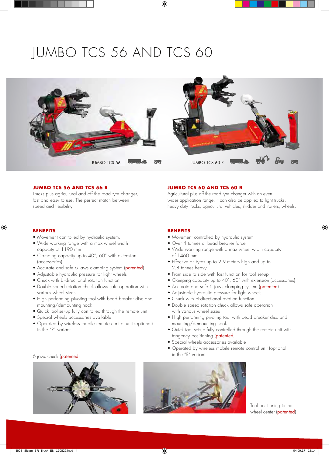### JUMBO TCS 56 AND TCS 60



#### **JUMBO TCS 56 AND TCS 56 R**

Trucks plus agricultural and off the road tyre changer, fast and easy to use. The perfect match between speed and flexibility.

#### **JUMBO TCS 60 AND TCS 60 R**

Agricultural plus off the road tyre changer with an even wider application range. It can also be applied to light trucks, heavy duty trucks, agricultural vehicles, skidder and trailers, wheels.

#### **BENEFITS**

- Movement controlled by hydraulic system.
- Wide working range with a max wheel width capacity of 1190 mm
- Clamping capacity up to 40", 60" with extension (accessories)
- Accurate and safe 6 jaws clamping system (patented)
- Adjustable hydraulic pressure for light wheels
- Chuck with bi-directional rotation function
- Double speed rotation chuck allows safe operation with various wheel sizes
- High performing pivoting tool with bead breaker disc and mounting/demounting hook
- Quick tool set-up fully controlled through the remote unit
- Special wheels accessories available
- Operated by wireless mobile remote control unit (optional) in the "R" variant

### in the "R" variant 6 jaws chuck (patented)



#### **BENEFITS**

- Movement controlled by hydraulic system
- Over 4 tonnes of bead breaker force
- Wide working range with a max wheel width capacity of 1460 mm
- Effective on tyres up to 2.9 meters high and up to 2.8 tonnes heavy
- From side to side with fast function for tool set-up
- Clamping capacity up to 40", 60" with extension (accessories)
- Accurate and safe 6 jaws clamping system (patented)
- Adjustable hydraulic pressure for light wheels
- Chuck with bi-directional rotation function
- Double speed rotation chuck allows safe operation with various wheel sizes
- High performing pivoting tool with bead breaker disc and mounting/demounting hook
- Quick tool set-up fully controlled through the remote unit with tangency positioning (patented)
- Special wheels accessories available
- Operated by wireless mobile remote control unit (optional)



Tool positioning to the wheel center (patented)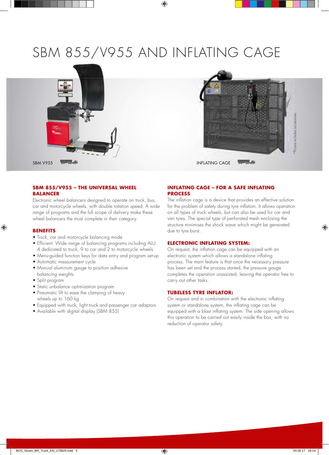### SBM 855/V955 AND INFLATING CAGE



#### **SBM 855/V955 – THE UNIVERSAL WHEEL BALANCER**

Electronic wheel balancers designed to operate on truck, bus, car and motorcycle wheels, with double rotation speed. A wide range of programs and the full scope of delivery make these wheel balancers the most complete in their category.

#### **BENEFITS**

- Truck, car and motorcycle balancing mode
- Efficient: Wide range of balancing programs including ALU: 4 dedicated to truck, 9 to car and 2 to motorcycle wheels
- Menu-guided function keys for data entry and program set-up
- Automatic measurement cycle
- Manual aluminum gauge to position adhesive balancing weights
- Split program
- Static unbalance optimization program
- Pneumatic lift to ease the clamping of heavy wheels up to 160 kg
- Equipped with truck, light truck and passenger car adaptors
- Available with digital display (SBM 855)

#### **INFLATING CAGE – FOR A SAFE INFLATING PROCESS**

The inflation cage is a device that provides an effective solution for the problem of safety during tyre inflation. It allows operation on all types of truck wheels, but can also be used for car and van tyres. The special type of perforated mesh enclosing the structure minimises the shock wave which might be generated due to tyre burst.

#### **ELECTRONIC INFLATING SYSTEM:**

On request, the inflation cage can be equipped with an electronic system which allows a standalone inflating process. The main feature is that once the necessary pressure has been set and the process started, the pressure gauge completes the operation unassisted, leaving the operator free to carry out other tasks.

#### **TUBELESS TYRE INFLATOR:**

On request and in combination with the electronic inflating system or standalone system, the inflating cage can be equipped with a blast inflating system. The side opening allows this operation to be carried out easily inside the box, with no reduction of operator safety.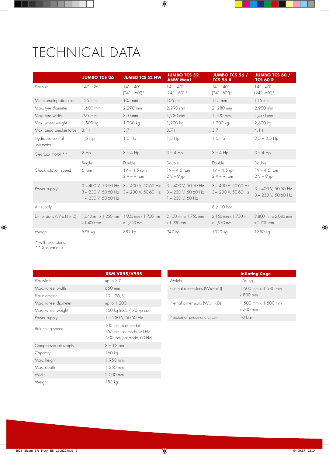## **TECHNICAL DATA**

|                                    | <b>JUMBO TCS 26</b>                                                            | <b>JUMBO TCS 52 NW</b>                                                                   | <b>JUMBO TCS 52</b><br><b>ANW Maxi</b>                              | <b>JUMBO TCS 56 /</b><br><b>TCS 56 R</b>      | <b>JUMBO TCS 60 /</b><br><b>TCS 60 R</b>      |
|------------------------------------|--------------------------------------------------------------------------------|------------------------------------------------------------------------------------------|---------------------------------------------------------------------|-----------------------------------------------|-----------------------------------------------|
| Rim size                           | $14'' - 26''$                                                                  | $14'' - 40''$                                                                            | $14'' - 40''$                                                       | $14'' - 40''$                                 | $14'' - 40''$                                 |
|                                    |                                                                                | $(24" - 60")^*$                                                                          | $(24" - 60")^*$                                                     | $(24'' - 60'')*$                              | $(24'' - 60'')*$                              |
| Min clamping diameter              | $125$ mm                                                                       | 105 mm                                                                                   | 105 mm                                                              | $115$ mm                                      | $115$ mm                                      |
| Max. tyre diameter                 | 1,600 mm                                                                       | 2,290 mm                                                                                 | 2,290 mm                                                            | 2, 280 mm                                     | 2,900 mm                                      |
| Max. tyre width                    | 795 mm                                                                         | 810 mm                                                                                   | 1,230 mm                                                            | 1,190 mm                                      | 1,460 mm                                      |
| Max. wheel weight                  | 1,500 kg                                                                       | 1,200 kg                                                                                 | 1,200 kg                                                            | 1,200 kg                                      | 2,800 kg                                      |
| Max, bead breaker force            | $3.1 +$                                                                        | 3.7t                                                                                     | $3.7 +$                                                             | $3.7 +$                                       | 4.1 <sub>†</sub>                              |
| Hydraulic control<br>unit motor    | $1,5$ Hp                                                                       | $1,5$ Hp                                                                                 | $1,5$ Hp                                                            | $1,5$ Hp                                      | $2,5 - 3,5$ Hp                                |
| Gearbox motor **                   | $2$ Hp                                                                         | $3 - 4$ Hp                                                                               | $3 - 4$ Hp                                                          | $3 - 4$ Hp                                    | $3 - 4$ Hp                                    |
|                                    | Single                                                                         | Double                                                                                   | Double                                                              | Double                                        | Double                                        |
| Chuck rotation speed               | 6 rpm                                                                          | $1V - 4.5$ rpm<br>$2 V - 9$ rpm                                                          | $1V - 4.5$ rpm<br>$2V - 9$ rpm                                      | $1V - 4.5$ rpm<br>$2 V - 9$ rpm               | $1V - 4.5$ rpm<br>$2 V - 9$ rpm               |
| Power supply                       | $1 - 230$ V, 50-60 Hz                                                          | $3 \sim 400$ V, 50-60 Hz $3 \sim 400$ V, 50-60 Hz<br>3~230 V, 50-60 Hz 3~230 V, 50-60 Hz | $3 \sim 400$ V, 50-60 Hz<br>3~230 V, 50-60 Hz<br>$1 - 230$ V, 60 Hz | $3 \sim 400$ V, 50-60 Hz<br>3~230 V, 50-60 Hz | $3 \sim 400$ V, 50-60 Hz<br>3~230 V, 50-60 Hz |
| Air supply                         |                                                                                |                                                                                          |                                                                     | $8/10$ bar                                    |                                               |
| Dimensions $(W \times H \times D)$ | $1,640$ mm $\times$ 1,250 mm $1,900$ mm $\times$ 1,750 mm<br>$\times$ 1,400 mm | $\times$ 1,750 mm                                                                        | 2,150 mm x 1,750 mm<br>x 1,930 mm                                   | 2,150 mm x 1,750 mm<br>$\times$ 1,930 mm      | 2,800 mm x 2,080 mm<br>$\times$ 2,700 mm      |
| Weight                             | 575 kg                                                                         | 882 kg                                                                                   | 947 kg                                                              | 1020 kg                                       | 1750 kg                                       |

\* with extensions

\*\* 3ph variants

|                       | <b>SBM V855/V955</b>                                                           |  |  |
|-----------------------|--------------------------------------------------------------------------------|--|--|
| Rim width             | up to 20"                                                                      |  |  |
| Max, wheel width      | 650 mm                                                                         |  |  |
| Rim diameter          | $10 - 26.5''$                                                                  |  |  |
| Max, wheel diameter   | up to 1,200                                                                    |  |  |
| Max. wheel weight     | 160 kg truck / 70 kg car                                                       |  |  |
| Power supply          | 1-230 V, 50-60 Hz                                                              |  |  |
| Balancing speed       | 100 rpm (truck mode)<br>167 rpm (car mode, 50 Hz)<br>200 rpm (car mode, 60 Hz) |  |  |
| Compressed air supply | $8 - 12$ bar                                                                   |  |  |
| Capacity              | 160 kg                                                                         |  |  |
| Max. height           | 1,950 mm                                                                       |  |  |
| Max. depth            | 1,350 mm                                                                       |  |  |
| Width                 | 2,000 mm                                                                       |  |  |
| Weight                | 183 kg                                                                         |  |  |

|                               | <b>Inflating Cage</b>                             |
|-------------------------------|---------------------------------------------------|
| Weight                        | 166 kg                                            |
| External dimensions (WxHxD)   | 1,600 mm x 1,580 mm<br>$\times$ 800 mm            |
| Internal dimensions (WxHxD)   | $1,500$ mm $\times$ $1,500$ mm<br>$\times$ 700 mm |
| Pression of pneumatic circuit | 10 bar                                            |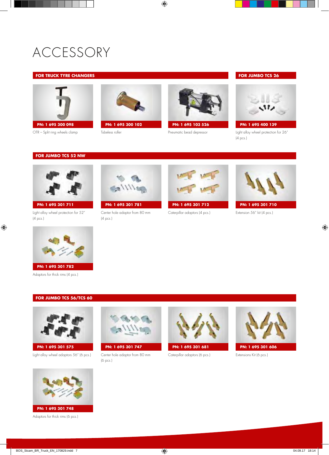### ACCESSORY

#### **FOR TRUCK TYRE CHANGERS**



OTR – Split ring wheels clamp



Tubeless roller



Pneumatic bead depressor

#### **FOR JUMBO TCS 26**



**PN: 1 695 400 139**

Light alloy wheel protection for 26" (4 pcs.)

#### **FOR JUMBO TCS 52 NW**



**PN: 1 695 301 711**

Light alloy wheel protection for 52" (4 pcs.)



Adaptors for thick rims (4 pcs.)

#### **FOR JUMBO TCS 56/TCS 60**



**PN: 1 695 301 575**

Light alloy wheel adaptors 56" (6 pcs.)



**PN: 1 695 301 781**

Center hole adaptor from 80 mm (4 pcs.)



**PN: 1 695 301 712**

Caterpillar adaptors (4 pcs.)



Extension 56" kit (4 pcs.)



**PN: 1 695 301 747** Center hole adaptor from 80 mm

(6 pcs.)



**PN: 1 695 301 681 PN: 1 695 301 606**

Caterpillar adaptors (6 pcs.) Extensions Kit (6 pcs.)





Adaptors for thick rims (6 pcs.)